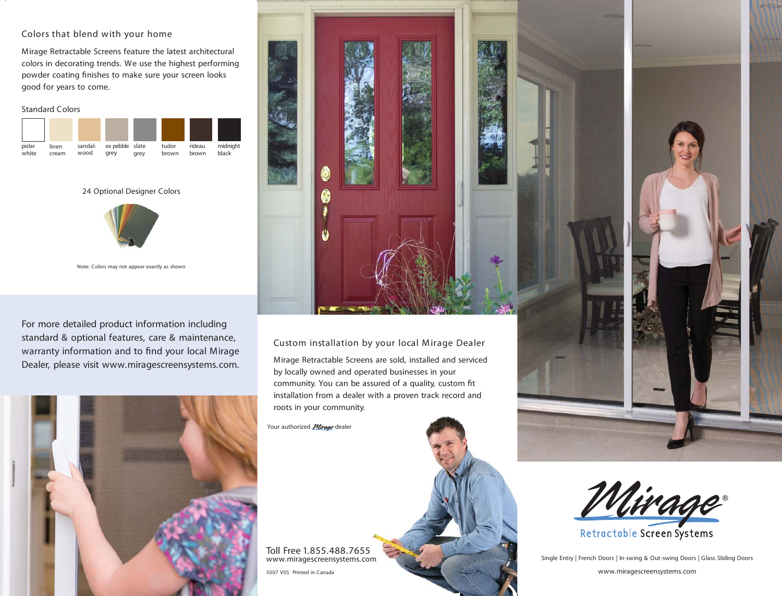## Colors that blend with your home

Mirage Retractable Screens feature the latest architectural colors in decorating trends. We use the highest performing powder coating finishes to make sure your screen looks good for years to come.

#### Standard Colors



24 Optional Designer Colors



Note: Colors may not appear exactly as shown

For more detailed product information including standard & optional features, care & maintenance, warranty information and to find your local Mirage Dealer, please visit www.miragescreensystems.com.





# Custom installation by your local M irage Dealer

Mirage Retractable Screens are sold, installed and serviced by locally owned and operated businesses in your community. You can be assured of a quality, custom fit installation from a dealer with a proven track record and roots in your community.

Your authorized *Mirage* dealer

www.miragescreensystems.com Toll Free 1.855.488.7655



Single Entry | French Doors | In-swing & Out-swing Doors | Glass Sliding Doors

www.miragescreensystems.com